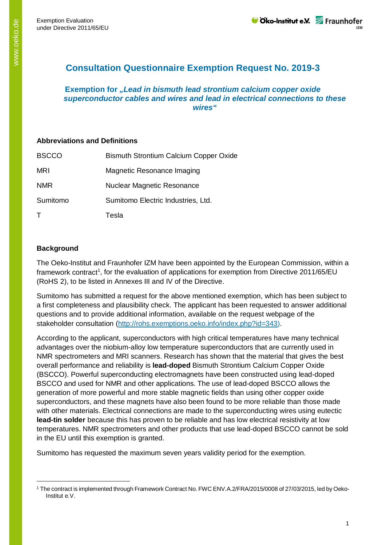## **Consultation Questionnaire Exemption Request No. 2019-3**

**Exemption for** *"Lead in bismuth lead strontium calcium copper oxide superconductor cables and wires and lead in electrical connections to these wires"*

## **Abbreviations and Definitions**

| <b>BSCCO</b> | <b>Bismuth Strontium Calcium Copper Oxide</b> |
|--------------|-----------------------------------------------|
| <b>MRI</b>   | Magnetic Resonance Imaging                    |
| <b>NMR</b>   | Nuclear Magnetic Resonance                    |
| Sumitomo     | Sumitomo Electric Industries, Ltd.            |
|              | Tesla                                         |

## **Background**

-

The Oeko-Institut and Fraunhofer IZM have been appointed by the European Commission, within a framework contract<sup>[1](#page-0-0)</sup>, for the evaluation of applications for exemption from Directive 2011/65/EU (RoHS 2), to be listed in Annexes III and IV of the Directive.

Sumitomo has submitted a request for the above mentioned exemption, which has been subject to a first completeness and plausibility check. The applicant has been requested to answer additional questions and to provide additional information, available on the request webpage of the stakeholder consultation [\(http://rohs.exemptions.oeko.info/index.php?id=343\)](http://rohs.exemptions.oeko.info/index.php?id=343).

According to the applicant, superconductors with high critical temperatures have many technical advantages over the niobium-alloy low temperature superconductors that are currently used in NMR spectrometers and MRI scanners. Research has shown that the material that gives the best overall performance and reliability is **lead-doped** Bismuth Strontium Calcium Copper Oxide (BSCCO). Powerful superconducting electromagnets have been constructed using lead-doped BSCCO and used for NMR and other applications. The use of lead-doped BSCCO allows the generation of more powerful and more stable magnetic fields than using other copper oxide superconductors, and these magnets have also been found to be more reliable than those made with other materials. Electrical connections are made to the superconducting wires using eutectic **lead-tin solder** because this has proven to be reliable and has low electrical resistivity at low temperatures. NMR spectrometers and other products that use lead-doped BSCCO cannot be sold in the EU until this exemption is granted.

Sumitomo has requested the maximum seven years validity period for the exemption.

<span id="page-0-0"></span><sup>1</sup> The contract is implemented through Framework Contract No. FWC ENV.A.2/FRA/2015/0008 of 27/03/2015, led by Oeko-Institut e.V.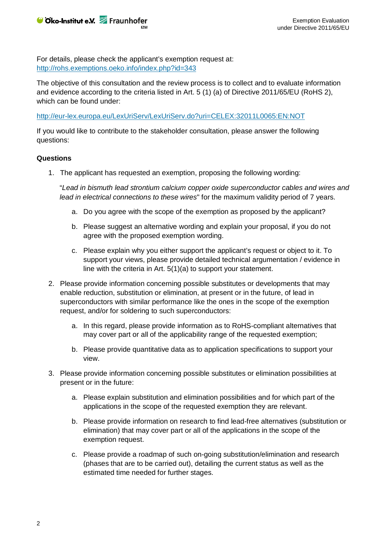

For details, please check the applicant's exemption request at: <http://rohs.exemptions.oeko.info/index.php?id=343>

The objective of this consultation and the review process is to collect and to evaluate information and evidence according to the criteria listed in Art. 5 (1) (a) of Directive 2011/65/EU (RoHS 2), which can be found under:

<http://eur-lex.europa.eu/LexUriServ/LexUriServ.do?uri=CELEX:32011L0065:EN:NOT>

If you would like to contribute to the stakeholder consultation, please answer the following questions:

## **Questions**

1. The applicant has requested an exemption, proposing the following wording:

"*Lead in bismuth lead strontium calcium copper oxide superconductor cables and wires and lead in electrical connections to these wires*" for the maximum validity period of 7 years.

- a. Do you agree with the scope of the exemption as proposed by the applicant?
- b. Please suggest an alternative wording and explain your proposal, if you do not agree with the proposed exemption wording.
- c. Please explain why you either support the applicant's request or object to it. To support your views, please provide detailed technical argumentation / evidence in line with the criteria in Art. 5(1)(a) to support your statement.
- 2. Please provide information concerning possible substitutes or developments that may enable reduction, substitution or elimination, at present or in the future, of lead in superconductors with similar performance like the ones in the scope of the exemption request, and/or for soldering to such superconductors:
	- a. In this regard, please provide information as to RoHS-compliant alternatives that may cover part or all of the applicability range of the requested exemption;
	- b. Please provide quantitative data as to application specifications to support your view.
- 3. Please provide information concerning possible substitutes or elimination possibilities at present or in the future:
	- a. Please explain substitution and elimination possibilities and for which part of the applications in the scope of the requested exemption they are relevant.
	- b. Please provide information on research to find lead-free alternatives (substitution or elimination) that may cover part or all of the applications in the scope of the exemption request.
	- c. Please provide a roadmap of such on-going substitution/elimination and research (phases that are to be carried out), detailing the current status as well as the estimated time needed for further stages.